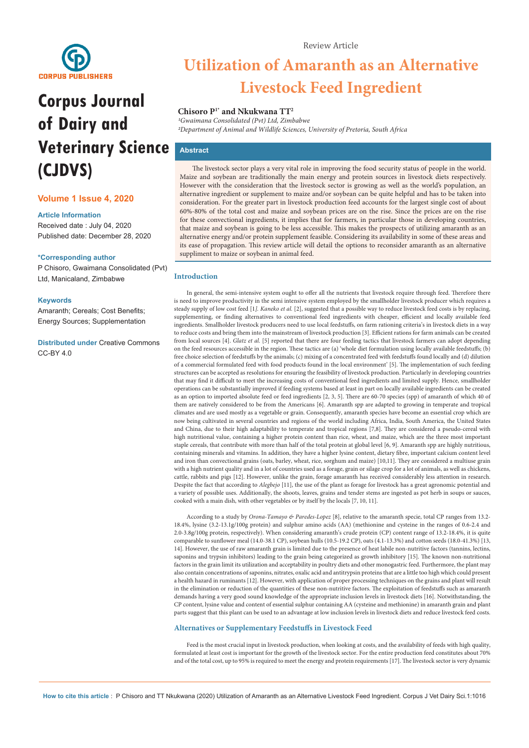

# **Corpus Journal of Dairy and Veterinary Science (CJDVS)**

# **Volume 1 Issue 4, 2020**

#### **Article Information**

Received date : July 04, 2020 Published date: December 28, 2020

#### **\*Corresponding author**

P Chisoro, Gwaimana Consolidated (Pvt) Ltd, Manicaland, Zimbabwe

#### **Keywords**

Amaranth; Cereals; Cost Benefits; Energy Sources; Supplementation

**Distributed under** [Creative Commons](https://creativecommons.org/licenses/by/4.0/)  [CC-BY 4.0](https://creativecommons.org/licenses/by/4.0/)

#### Review Article

# **Utilization of Amaranth as an Alternative Livestock Feed Ingredient**

## **Chisoro P1\* and Nkukwana TT2**

*1Gwaimana Consolidated (Pvt) Ltd, Zimbabwe 2Department of Animal and Wildlife Sciences, University of Pretoria, South Africa*

# **Abstract**

The livestock sector plays a very vital role in improving the food security status of people in the world. Maize and soybean are traditionally the main energy and protein sources in livestock diets respectively. However with the consideration that the livestock sector is growing as well as the world's population, an alternative ingredient or supplement to maize and/or soybean can be quite helpful and has to be taken into consideration. For the greater part in livestock production feed accounts for the largest single cost of about 60%-80% of the total cost and maize and soybean prices are on the rise. Since the prices are on the rise for these convectional ingredients, it implies that for farmers, in particular those in developing countries, that maize and soybean is going to be less accessible. This makes the prospects of utilizing amaranth as an alternative energy and/or protein supplement feasible. Considering its availability in some of these areas and its ease of propagation. This review article will detail the options to reconsider amaranth as an alternative suppliment to maize or soybean in animal feed.

#### **Introduction**

In general, the semi-intensive system ought to offer all the nutrients that livestock require through feed. Therefore there is need to improve productivity in the semi intensive system employed by the smallholder livestock producer which requires a steady supply of low cost feed [1*]. Kaneko et al.* [2], suggested that a possible way to reduce livestock feed costs is by replacing, supplementing, or finding alternatives to conventional feed ingredients with cheaper, efficient and locally available feed ingredients. Smallholder livestock producers need to use local feedstuffs, on farm rationing criteria's in livestock diets in a way to reduce costs and bring them into the mainstream of livestock production [3]. Efficient rations for farm animals can be created from local sources [4]. *Glatz et al.* [5] reported that there are four feeding tactics that livestock farmers can adopt depending on the feed resources accessible in the region. These tactics are (a) 'whole diet formulation using locally available feedstuffs; (b) free choice selection of feedstuffs by the animals; (c) mixing of a concentrated feed with feedstuffs found locally and (d) dilution of a commercial formulated feed with food products found in the local environment' [5]. The implementation of such feeding structures can be accepted as resolutions for ensuring the feasibility of livestock production. Particularly in developing countries that may find it difficult to meet the increasing costs of conventional feed ingredients and limited supply. Hence, smallholder operations can be substantially improved if feeding systems based at least in part on locally available ingredients can be created as an option to imported absolute feed or feed ingredients [2, 3, 5]. There are 60-70 species (spp) of amaranth of which 40 of them are natively considered to be from the Americans [6]. Amaranth spp are adapted to growing in temperate and tropical climates and are used mostly as a vegetable or grain. Consequently, amaranth species have become an essential crop which are now being cultivated in several countries and regions of the world including Africa, India, South America, the United States and China, due to their high adaptability to temperate and tropical regions [7,8]. They are considered a pseudo-cereal with high nutritional value, containing a higher protein content than rice, wheat, and maize, which are the three most important staple cereals, that contribute with more than half of the total protein at global level [6, 9]. Amaranth spp are highly nutritious, containing minerals and vitamins. In addition, they have a higher lysine content, dietary fibre, important calcium content level and iron than convectional grains (oats, barley, wheat, rice, sorghum and maize) [10,11]. They are considered a multiuse grain with a high nutrient quality and in a lot of countries used as a forage, grain or silage crop for a lot of animals, as well as chickens, cattle, rabbits and pigs [12]. However, unlike the grain, forage amaranth has received considerably less attention in research. Despite the fact that according to *Alegbejo* [11], the use of the plant as forage for livestock has a great agronomic potential and a variety of possible uses. Additionally, the shoots, leaves, grains and tender stems are ingested as pot herb in soups or sauces, cooked with a main dish, with other vegetables or by itself by the locals [7, 10, 11].

According to a study by *Orona-Tamayo & Paredes-Lopez* [8], relative to the amaranth specie, total CP ranges from 13.2- 18.4%, lysine (3.2-13.1g/100g protein) and sulphur amino acids (AA) (methionine and cysteine in the ranges of 0.6-2.4 and 2.0-3.8g/100g protein, respectively). When considering amaranth's crude protein (CP) content range of 13.2-18.4%, it is quite comparable to sunflower meal (14.0-38.1 CP), soybean hulls (10.5-19.2 CP), oats (4.1-13.3%) and cotton seeds (18.0-41.3%) [13, 14]. However, the use of raw amaranth grain is limited due to the presence of heat labile non-nutritive factors (tannins, lectins, saponins and trypsin inhibitors) leading to the grain being categorized as growth inhibitory [15]. The known non-nutritional factors in the grain limit its utilization and acceptability in poultry diets and other monogastric feed. Furthermore, the plant may also contain concentrations of saponins, nitrates, oxalic acid and antitrypsin proteins that are a little too high which could present a health hazard in ruminants [12]. However, with application of proper processing techniques on the grains and plant will result in the elimination or reduction of the quantities of these non-nutritive factors. The exploitation of feedstuffs such as amaranth demands having a very good sound knowledge of the appropriate inclusion levels in livestock diets [16]. Notwithstanding, the CP content, lysine value and content of essential sulphur containing AA (cysteine and methionine) in amaranth grain and plant parts suggest that this plant can be used to an advantage at low inclusion levels in livestock diets and reduce livestock feed costs.

## **Alternatives or Supplementary Feedstuffs in Livestock Feed**

Feed is the most crucial input in livestock production, when looking at costs, and the availability of feeds with high quality, formulated at least cost is important for the growth of the livestock sector. For the entire production feed constitutes about 70% and of the total cost, up to 95% is required to meet the energy and protein requirements [17]. The livestock sector is very dynamic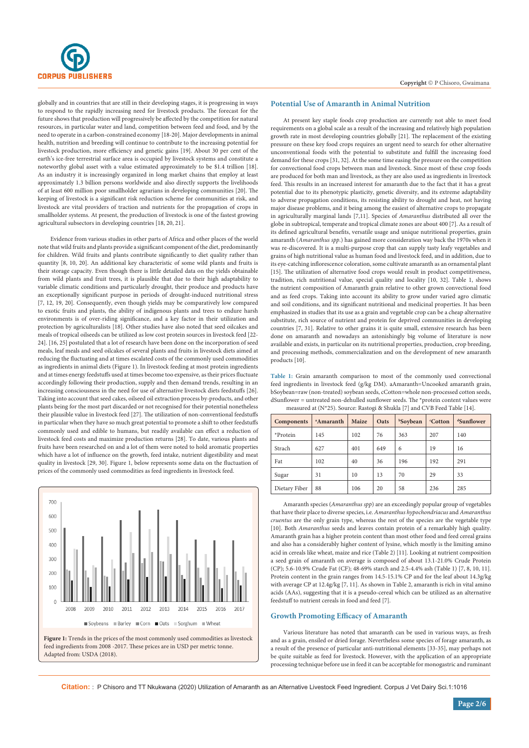

globally and in countries that are still in their developing stages, it is progressing in ways to respond to the rapidly increasing need for livestock products. The forecast for the future shows that production will progressively be affected by the competition for natural resources, in particular water and land, competition between feed and food, and by the need to operate in a carbon-constrained economy [18-20]. Major developments in animal health, nutrition and breeding will continue to contribute to the increasing potential for livestock production, more efficiency and genetic gains [19]. About 30 per cent of the earth's ice-free terrestrial surface area is occupied by livestock systems and constitute a noteworthy global asset with a value estimated approximately to be \$1.4 trillion [18]. As an industry it is increasingly organized in long market chains that employ at least approximately 1.3 billion persons worldwide and also directly supports the livelihoods of at least 600 million poor smallholder agrarians in developing communities [20]. The keeping of livestock is a significant risk reduction scheme for communities at risk, and livestock are vital providers of traction and nutrients for the propagation of crops in smallholder systems. At present, the production of livestock is one of the fastest growing agricultural subsectors in developing countries [18, 20, 21].

Evidence from various studies in other parts of Africa and other places of the world note that wild fruits and plants provide a significant component of the diet, predominantly for children. Wild fruits and plants contribute significantly to diet quality rather than quantity [8, 10, 20]. An additional key characteristic of some wild plants and fruits is their storage capacity. Even though there is little detailed data on the yields obtainable from wild plants and fruit trees, it is plausible that due to their high adaptability to variable climatic conditions and particularly drought, their produce and products have an exceptionally significant purpose in periods of drought-induced nutritional stress [7, 12, 19, 20]. Consequently, even though yields may be comparatively low compared to exotic fruits and plants, the ability of indigenous plants and trees to endure harsh environments is of over-riding significance, and a key factor in their utilization and protection by agriculturalists [18]. Other studies have also noted that seed oilcakes and meals of tropical oilseeds can be utilized as low cost protein sources in livestock feed [22- 24]. [16, 25] postulated that a lot of research have been done on the incorporation of seed meals, leaf meals and seed oilcakes of several plants and fruits in livestock diets aimed at reducing the fluctuating and at times escalated costs of the commonly used commodities as ingredients in animal diets (Figure 1). In livestock feeding at most protein ingredients and at times energy feedstuffs used at times become too expensive, as their prices fluctuate accordingly following their production, supply and then demand trends, resulting in an increasing consciousness in the need for use of alternative livestock diets feedstuffs [26]. Taking into account that seed cakes, oilseed oil extraction process by-products, and other plants being for the most part discarded or not recognised for their potential nonetheless their plausible value in livestock feed [27]. The utilization of non-conventional feedstuffs in particular when they have so much great potential to promote a shift to other feedstuffs commonly used and edible to humans, but readily available can effect a reduction of livestock feed costs and maximize production returns [28]. To date, various plants and fruits have been researched on and a lot of them were noted to hold aromatic properties which have a lot of influence on the growth, feed intake, nutrient digestibility and meat quality in livestock [29, 30]. Figure 1, below represents some data on the fluctuation of prices of the commonly used commodities as feed ingredients in livestock feed.



feed ingredients from 2008 -2017. These prices are in USD per metric tonne. Adapted from: USDA (2018).

#### **Potential Use of Amaranth in Animal Nutrition**

At present key staple foods crop production are currently not able to meet food requirements on a global scale as a result of the increasing and relatively high population growth rate in most developing countries globally [21]. The replacement of the existing pressure on these key food crops requires an urgent need to search for other alternative unconventional foods with the potential to substitute and fulfill the increasing food demand for these crops [31, 32]. At the some time easing the pressure on the competition for convectional food crops between man and livestock. Since most of these crop foods are produced for both man and livestock, as they are also used as ingredients in livestock feed. This results in an increased interest for amaranth due to the fact that it has a great potential due to its phenotypic plasticity, genetic diversity, and its extreme adaptability to adverse propagation conditions, its resisting ability to drought and heat, not having major disease problems, and it being among the easiest of alternative crops to propagate in agriculturally marginal lands [7,11]. Species of *Amaranthus* distributed all over the globe in subtropical, temperate and tropical climate zones are about 400 [7]. As a result of its defined agricultural benefits, versatile usage and unique nutritional properties, grain amaranth (*Amaranthus spp*.) has gained more consideration way back the 1970s when it was re-discovered. It is a multi-purpose crop that can supply tasty leafy vegetables and grains of high nutritional value as human food and livestock feed, and in addition, due to its eye-catching inflorescence coloration, some cultivate amaranth as an ornamental plant [15]. The utilization of alternative food crops would result in product competitiveness, tradition, rich nutritional value, special quality and locality [10, 32]. Table 1, shows the nutrient composition of Amaranth grain relative to other grown convectional food and as feed crops. Taking into account its ability to grow under varied agro climatic and soil conditions, and its significant nutritional and medicinal properties. It has been emphasized in studies that its use as a grain and vegetable crop can be a cheap alternative substitute, rich source of nutrient and protein for deprived communities in developing countries [7, 31]. Relative to other grains it is quite small, extensive research has been done on amaranth and nowadays an astonishingly big volume of literature is now available and exists, in particular on its nutritional properties, production, crop breeding, and processing methods, commercialization and on the development of new amaranth products [10].

**Table 1:** Grain amaranth comparison to most of the commonly used convectional feed ingredients in livestock feed (g/kg DM). aAmaranth=Uncooked amaranth grain, bSoybean=raw (non-treated) soybean seeds, cCotton=whole non-processed cotton seeds, dSunflower = untreated non-dehulled sunflower seeds. The \*protein content values were measured at (N\*25). Source: Rastogi & Shukla [7] and CVB Feed Table [14].

| Components    | <sup>a</sup> Amaranth | Maize | Oats | <b>bSoybean</b> | <i>c</i> Cotton | <sup>d</sup> Sunflower |
|---------------|-----------------------|-------|------|-----------------|-----------------|------------------------|
| *Protein      | 145                   | 102   | 76   | 363             | 207             | 140                    |
| Strach        | 627                   | 401   | 649  | 6               | 19              | 16                     |
| Fat           | 102                   | 40    | 36   | 196             | 192             | 291                    |
| Sugar         | 31                    | 10    | 13   | 70              | 29              | 33                     |
| Dietary Fiber | 88                    | 106   | 20   | 58              | 236             | 285                    |

Amaranth species (*Amaranthus spp*) are an exceedingly popular group of vegetables that have their place to diverse species, i.e. *Amaranthus hypochondriacus* and *Amaranthus cruentus* are the only grain type, whereas the rest of the species are the vegetable type [10]. Both *Amaranthus* seeds and leaves contain protein of a remarkably high quality. Amaranth grain has a higher protein content than most other food and feed cereal grains and also has a considerably higher content of lysine, which mostly is the limiting amino acid in cereals like wheat, maize and rice (Table 2) [11]. Looking at nutrient composition a seed grain of amaranth on average is composed of about 13.1-21.0% Crude Protein (CP); 5.6-10.9% Crude Fat (CF); 48-69% starch and 2.5-4.4% ash (Table 1) [7, 8, 10, 11]. Protein content in the grain ranges from 14.5-15.1% CP and for the leaf about 14.3g/kg with average CP at 12.4g/kg [7, 11]. As shown in Table 2, amaranth is rich in vital amino acids (AAs), suggesting that it is a pseudo-cereal which can be utilized as an alternative feedstuff to nutrient cereals in food and feed [7].

#### **Growth Promoting Efficacy of Amaranth**

Various literature has noted that amaranth can be used in various ways, as fresh and as a grain, ensiled or dried forage. Nevertheless some species of forage amaranth, as a result of the presence of particular anti-nutritional elements [33-35], may perhaps not be quite suitable as feed for livestock. However, with the application of an appropriate processing technique before use in feed it can be acceptable for monogastric and ruminant

**Citation:** : P Chisoro and TT Nkukwana (2020) Utilization of Amaranth as an Alternative Livestock Feed Ingredient. Corpus J Vet Dairy Sci.1:1016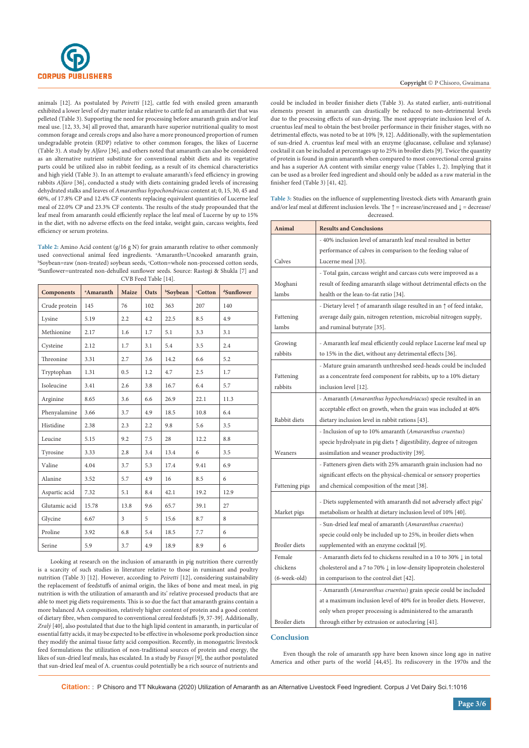

animals [12]. As postulated by *Peiretti* [12], cattle fed with ensiled green amaranth exhibited a lower level of dry matter intake relative to cattle fed an amaranth diet that was pelleted (Table 3). Supporting the need for processing before amaranth grain and/or leaf meal use. [12, 33, 34] all proved that, amaranth have superior nutritional quality to most common forage and cereals crops and also have a more pronounced proportion of rumen undegradable protein (RDP) relative to other common forages, the likes of Lucerne (Table 3). A study by *Alfaro* [36], and others noted that amaranth can also be considered as an alternative nutrient substitute for conventional rabbit diets and its vegetative parts could be utilized also in rabbit feeding, as a result of its chemical characteristics and high yield (Table 3). In an attempt to evaluate amaranth's feed efficiency in growing rabbits *Alfaro* [36], conducted a study with diets containing graded levels of increasing dehydrated stalks and leaves of *Amaranthus hypochondriacus* content at; 0, 15, 30, 45 and 60%, of 17.8% CP and 12.4% CF contents replacing equivalent quantities of Lucerne leaf meal of 22.0% CP and 23.3% CF contents. The results of the study propounded that the leaf meal from amaranth could efficiently replace the leaf meal of Lucerne by up to 15% in the diet, with no adverse effects on the feed intake, weight gain, carcass weights, feed efficiency or serum proteins.

**Table 2:** Amino Acid content (g/16 g N) for grain amaranth relative to other commonly used convectional animal feed ingredients. <sup>a</sup>Amaranth=Uncooked amaranth grain, used convectional animal feed ingredients. ªAmaranth=Uncooked amaranth grain,<br><sup>h</sup>Soybean=raw (non-treated) soybean seeds, 'Cotton=whole non-processed cotton seeds,<br><sup>dc</sup>unflower=untreated non-debulled sunflower seeds. Sourc Sunflower=untreated non-dehulled sunflower seeds. Source: Rastogi & Shukla [7] and CVB Feed Table [14].

| <b>Components</b> | <sup>a</sup> Amaranth | Maize          | Oats | <b>bSoybean</b> | <b>Cotton</b> | dSunflower |
|-------------------|-----------------------|----------------|------|-----------------|---------------|------------|
| Crude protein     | 145                   | 76             | 102  | 363             | 207           | 140        |
| Lysine            | 5.19                  | 2.2            | 4.2  | 22.5            | 8.5           | 4.9        |
| Methionine        | 2.17                  | 1.6            | 1.7  | 5.1             | 3.3           | 3.1        |
| Cysteine          | 2.12                  | 1.7            | 3.1  | 5.4             | 3.5           | 2.4        |
| Threonine         | 3.31                  | 2.7            | 3.6  | 14.2            | 6.6           | 5.2        |
| Tryptophan        | 1.31                  | 0.5            | 1.2  | 4.7             | 2.5           | 1.7        |
| Isoleucine        | 3.41                  | 2.6            | 3.8  | 16.7            | 6.4           | 5.7        |
| Arginine          | 8.65                  | 3.6            | 6.6  | 26.9            | 22.1          | 11.3       |
| Phenyalamine      | 3.66                  | 3.7            | 4.9  | 18.5            | 10.8          | 6.4        |
| Histidine         | 2.38                  | 2.3            | 2.2  | 9.8             | 5.6           | 3.5        |
| Leucine           | 5.15                  | 9.2            | 7.5  | 28              | 12.2          | 8.8        |
| Tyrosine          | 3.33                  | 2.8            | 3.4  | 13.4            | 6             | 3.5        |
| Valine            | 4.04                  | 3.7            | 5.3  | 17.4            | 9.41          | 6.9        |
| Alanine           | 3.52                  | 5.7            | 4.9  | 16              | 8.5           | 6          |
| Aspartic acid     | 7.32                  | 5.1            | 8.4  | 42.1            | 19.2          | 12.9       |
| Glutamic acid     | 15.78                 | 13.8           | 9.6  | 65.7            | 39.1          | 27         |
| Glycine           | 6.67                  | $\overline{3}$ | 5    | 15.6            | 8.7           | 8          |
| Proline           | 3.92                  | 6.8            | 5.4  | 18.5            | 7.7           | 6          |
| Serine            | 5.9                   | 3.7            | 4.9  | 18.9            | 8.9           | 6          |

Looking at research on the inclusion of amaranth in pig nutrition there currently is a scarcity of such studies in literature relative to those in ruminant and poultry nutrition (Table 3) [12]. However, according to *Peiretti* [12], considering sustainability the replacement of feedstuffs of animal origin, the likes of bone and meat meal, in pig nutrition is with the utilization of amaranth and its' relative processed products that are able to meet pig diets requirements. This is so due the fact that amaranth grains contain a more balanced AA composition, relatively higher content of protein and a good content of dietary fibre, when compared to conventional cereal feedstuffs [9, 37-39]. Additionally, *Zralý* [40], also postulated that due to the high lipid content in amaranth, in particular of essential fatty acids, it may be expected to be effective in wholesome pork production since they modify the animal tissue fatty acid composition. Recently, in monogastric livestock feed formulations the utilization of non-traditional sources of protein and energy, the likes of sun-dried leaf meals, has escalated. In a study by *Fasuyi* [9], the author postulated that sun-dried leaf meal of A. cruentus could potentially be a rich source of nutrients and could be included in broiler finisher diets (Table 3). As stated earlier, anti-nutritional elements present in amaranth can drastically be reduced to non-detrimental levels due to the processing effects of sun-drying. The most appropriate inclusion level of A. cruentus leaf meal to obtain the best broiler performance in their finisher stages, with no detrimental effects, was noted to be at 10% [9, 12]. Additionally, with the suplementation of sun-dried A. cruentus leaf meal with an enzyme (glucanase, cellulase and xylanase) cocktail it can be included at percentages up to 25% in broiler diets [9]. Twice the quantity of protein is found in grain amaranth when compared to most convectional cereal grains and has a superior AA content with similar energy value (Tables 1, 2). Implying that it can be used as a broiler feed ingredient and should only be added as a raw material in the finisher feed (Table 3) [41, 42].

**Table 3:** Studies on the influence of supplementing livestock diets with Amaranth grain and/or leaf meal at different inclusion levels. The ↑ = increase/increased and ↓ = decrease/ decreased.

| Animal               | <b>Results and Conclusions</b>                                                          |  |  |  |
|----------------------|-----------------------------------------------------------------------------------------|--|--|--|
|                      | - 40% inclusion level of amaranth leaf meal resulted in better                          |  |  |  |
|                      | performance of calves in comparison to the feeding value of                             |  |  |  |
| Calves               | Lucerne meal [33].                                                                      |  |  |  |
|                      | - Total gain, carcass weight and carcass cuts were improved as a                        |  |  |  |
| Moghani              | result of feeding amaranth silage without detrimental effects on the                    |  |  |  |
| lambs                | health or the lean-to-fat ratio [34].                                                   |  |  |  |
|                      | - Dietary level $\uparrow$ of amaranth silage resulted in an $\uparrow$ of feed intake, |  |  |  |
| Fattening            | average daily gain, nitrogen retention, microbial nitrogen supply,                      |  |  |  |
| lambs                | and ruminal butyrate [35].                                                              |  |  |  |
| Growing              | - Amaranth leaf meal efficiently could replace Lucerne leaf meal up                     |  |  |  |
| rabbits              | to 15% in the diet, without any detrimental effects [36].                               |  |  |  |
|                      |                                                                                         |  |  |  |
|                      | - Mature grain amaranth unthreshed seed-heads could be included                         |  |  |  |
| Fattening<br>rabbits | as a concentrate feed component for rabbits, up to a 10% dietary                        |  |  |  |
|                      | inclusion level [12].                                                                   |  |  |  |
|                      | - Amaranth (Amaranthus hypochondriacus) specie resulted in an                           |  |  |  |
|                      | acceptable effect on growth, when the grain was included at 40%                         |  |  |  |
| Rabbit diets         | dietary inclusion level in rabbit rations [43].                                         |  |  |  |
|                      | - Inclusion of up to 10% amaranth (Amaranthus cruentus)                                 |  |  |  |
|                      | specie hydrolysate in pig diets $\uparrow$ digestibility, degree of nitrogen            |  |  |  |
| Weaners              | assimilation and weaner productivity [39].                                              |  |  |  |
|                      | - Fatteners given diets with 25% amaranth grain inclusion had no                        |  |  |  |
|                      | significant effects on the physical-chemical or sensory properties                      |  |  |  |
| Fattening pigs       | and chemical composition of the meat [38].                                              |  |  |  |
|                      | - Diets supplemented with amaranth did not adversely affect pigs'                       |  |  |  |
| Market pigs          | metabolism or health at dietary inclusion level of 10% [40].                            |  |  |  |
|                      | - Sun-dried leaf meal of amaranth (Amaranthus cruentus)                                 |  |  |  |
|                      | specie could only be included up to 25%, in broiler diets when                          |  |  |  |
| <b>Broiler</b> diets | supplemented with an enzyme cocktail [9].                                               |  |  |  |
| Female               | - Amaranth diets fed to chickens resulted in a 10 to 30% $\downarrow$ in total          |  |  |  |
| chickens             | cholesterol and a 7 to 70% $\downarrow$ in low-density lipoprotein cholesterol          |  |  |  |
| (6-week-old)         | in comparison to the control diet [42].                                                 |  |  |  |
|                      | - Amaranth ( <i>Amaranthus cruentus</i> ) grain specie could be included                |  |  |  |
|                      | at a maximum inclusion level of 40% for in broiler diets. However,                      |  |  |  |
|                      | only when proper processing is administered to the amaranth                             |  |  |  |
| <b>Broiler</b> diets | through either by extrusion or autoclaving [41].                                        |  |  |  |

#### **Conclusion**

Even though the role of amaranth spp have been known since long ago in native America and other parts of the world [44,45]. Its rediscovery in the 1970s and the

**Citation:** : P Chisoro and TT Nkukwana (2020) Utilization of Amaranth as an Alternative Livestock Feed Ingredient. Corpus J Vet Dairy Sci.1:1016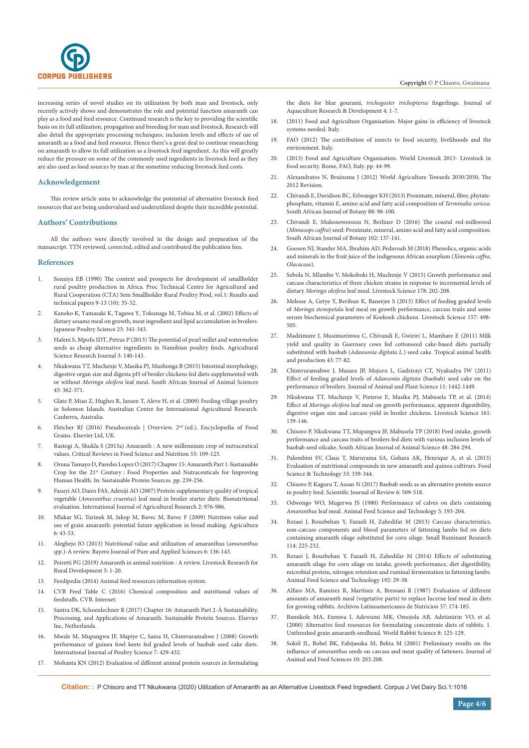

increasing series of novel studies on its utilization by both man and livestock, only recently actively shows and demonstrates the role and potential function amaranth can play as a food and feed resource. Continued research is the key to providing the scientific basis on its full utilization, propagation and breeding for man and livestock. Research will also detail the appropriate processing techniques, inclusion levels and effects of use of amaranth as a food and feed resource. Hence there's a great deal to continue researching on amaranth to allow its full utilization as a livestock feed ingredient. As this will greatly reduce the pressure on some of the commonly used ingredients in livestock feed as they are also used as food sources by man at the sometime reducing livestock feed costs.

#### **Acknowledgement**

This review article aims to acknowledge the poteintial of alternative livestock feed resources that are being undervalued and underutilized despite their incredible potential.

#### **Authors' Contributions**

All the authors were directly involved in the design and preparation of the manuscript. TTN reviewed, corrected, edited and contributed the publication fees.

#### **References**

- 1. Sonaiya EB (1990) The context and prospects for development of smallholder rural poultry production in Africa. Proc Technical Centre for Agricultural and Rural Cooperation (CTA) Sem Smallholder Rural Poultry Prod, vol.1: Results and technical papers 9-13 (10): 35-52.
- 2. Kaneko K, Yamasaki K, Tagawa Y, Tokunaga M, Tobisa M, et al. (2002) Effects of dietary sesame meal on growth, meat ingredient and lipid accumulation in broilers. Japanese Poultry Science 23: 341-343.
- 3. Hafeni S, Mpofu IDT, Petrus P (2013) The potential of pearl millet and watermelon seeds as cheap alternative ingredients in Namibian poultry feeds. Agricultural Science Research Journal 3: 140-143.
- 4. [Nkukwana TT, Muchenje V, Masika PJ, Mushonga B \(2015\) Intestinal morphology,](http://www.scielo.org.za/scielo.php?script=sci_arttext&pid=S0375-15892015000400002)  [digestive organ size and digesta pH of broiler chickens fed diets supplemented with](http://www.scielo.org.za/scielo.php?script=sci_arttext&pid=S0375-15892015000400002)  or without *Moringa oleifera* [leaf meal. South African Journal of Animal Sciences](http://www.scielo.org.za/scielo.php?script=sci_arttext&pid=S0375-15892015000400002)  [45: 362-371.](http://www.scielo.org.za/scielo.php?script=sci_arttext&pid=S0375-15892015000400002)
- 5. Glatz P, Miao Z, Hughes R, Jansen T, Aleve H, et al. (2009) Feeding village poultry in Solomon Islands. Australian Centre for International Agricultural Research. Canberra, Australia.
- 6. Fletcher RJ (2016) Pseudocereals | Overview. 2nd (ed.), Encyclopedia of Food Grains. Elsevier Ltd, UK.
- 7. Rastogi A, Shukla S (2013a) Amaranth [: A new millennium crop of nutraceutical](https://pubmed.ncbi.nlm.nih.gov/23072528/)  [values. Critical Reviews in Food Science and Nutrition 53: 109-125.](https://pubmed.ncbi.nlm.nih.gov/23072528/)
- 8. Orona Tamayo D, Paredes Lopez O (2017) Chapter 15: Amaranth Part 1-Sustainable Crop for the 21<sup>st</sup> Century : Food Properties and Nutraceuticals for Improving Human Health. In: Sustainable Protein Sources. pp. 239-256.
- 9. [Fasuyi AO, Dairo FAS, Adeniji AO \(2007\) Protein supplementary quality of tropical](https://scialert.net/abstract/?doi=ijar.2007.976.986)  vegetable (*Amaranthus cruentus*[\) leaf meal in broiler starter diets: Bionutritional](https://scialert.net/abstract/?doi=ijar.2007.976.986)  [evaluation. International Journal of Agricultural Research 2: 976-986.](https://scialert.net/abstract/?doi=ijar.2007.976.986)
- 10. Mlakar SG, Turinek M, Jakop M, Bavec M, Bavec F (2009) Nutrition value and use of grain amaranth: potential future application in bread making. Agricultura 6: 43-53.
- 11. [Alegbejo JO \(2013\) Nutritional value and utilization of amaranthus \(](https://www.ajol.info/index.php/bajopas/article/view/99279)*amaranthus spp*[.\)-A review. Bayero Journal of Pure and Applied Sciences 6: 136-143.](https://www.ajol.info/index.php/bajopas/article/view/99279)
- 12. [Peiretti PG \(2019\) Amaranth in animal nutrition](https://www.cabdirect.org/cabdirect/abstract/20183286764) : A review. Livestock Research for [Rural Development 5: 1-20.](https://www.cabdirect.org/cabdirect/abstract/20183286764)
- 13. Feedipedia (2014) Animal feed resources information system.
- 14. CVB Feed Table C (2016) Chemical composition and nutritional values of feedstuffs. CVB. Internet:
- 15. Santra DK, Schoenlechner R (2017) Chapter 16: Amaranth Part 2-À Sustainability, Processing, and Applications of Amaranth. Sustainable Protein Sources. Elsevier Inc, Netherlands.
- 16. [Mwale M, Mupangwa JF, Mapiye C, Saina H, Chimvuramahwe J \(2008\) Growth](https://scialert.net/abstract/?doi=ijps.2008.429.432)  [performance of guinea fowl keets fed graded levels of baobab seed cake diets.](https://scialert.net/abstract/?doi=ijps.2008.429.432)  [International Journal of Poultry Science 7: 429-432.](https://scialert.net/abstract/?doi=ijps.2008.429.432)
- 17. Mohanta KN (2012) Evaluation of different animal protein sources in formulating

the diets for blue gourami, *trichogaster trichopterus* fingerlings. Journal of Aquaculture Research & Development 4: 1-7.

- 18. (2011) Food and Agriculture Organisation. Major gains in efficiency of livestock systems needed. Italy.
- 19. FAO (2012) The contribution of insects to food security, livelihoods and the environment. Italy.
- 20. (2013) Food and Agriculture Organisation. World Livestock 2013- Livestock in food security. Rome, FAO, Italy. pp. 44-99.
- 21. Alexandratos N, Bruinsma J (2012) World Agriculture Towards 2030/2050, The 2012 Revision.
- 22. [Chivandi E, Davidson BC, Erlwanger KH \(2013\) Proximate, mineral, fibre, phytate](https://www.sciencedirect.com/science/article/pii/S0254629913002809)[phosphate, vitamin E, amino acid and fatty acid composition of](https://www.sciencedirect.com/science/article/pii/S0254629913002809) *Terminalia sericea*. [South African Journal of Botany 88: 96-100.](https://www.sciencedirect.com/science/article/pii/S0254629913002809)
- 23. [Chivandi E, Mukonowenzou N, Berliner D \(2016\) The coastal red-milkwood](https://www.sciencedirect.com/science/article/pii/S0254629915003403)  (*Mimusops caffra*[\) seed: Proximate, mineral, amino acid and fatty acid composition.](https://www.sciencedirect.com/science/article/pii/S0254629915003403)  [South African Journal of Botany 102: 137-141.](https://www.sciencedirect.com/science/article/pii/S0254629915003403)
- 24. Goosen NJ, Stander MA, Ibrahim AD, Pedavoah M (2018) Phenolics, organic acids and minerals in the fruit juice of the indigenous African sourplum (*Ximenia caffra*, *Olacaceae*).
- 25. [Sebola N, Mlambo V, Mokoboki H, Muchenje V \(2015\) Growth performance and](https://www.sciencedirect.com/science/article/abs/pii/S1871141315002000)  [carcass characteristics of three chicken strains in response to incremental levels of](https://www.sciencedirect.com/science/article/abs/pii/S1871141315002000)  dietary *Moringa oleifera* [leaf meal. Livestock Science 178: 202-208.](https://www.sciencedirect.com/science/article/abs/pii/S1871141315002000)
- 26. [Melesse A, Getye Y, Berihun K, Banerjee S \(2013\) Effect of feeding graded levels](https://www.sciencedirect.com/science/article/abs/pii/S1871141313003624)  of *Moringa stenopetala* [leaf meal on growth performance, carcass traits and some](https://www.sciencedirect.com/science/article/abs/pii/S1871141313003624)  [serum biochemical parameters of Koekoek chickens. Livestock Science 157: 498-](https://www.sciencedirect.com/science/article/abs/pii/S1871141313003624) [505.](https://www.sciencedirect.com/science/article/abs/pii/S1871141313003624)
- 27. [Madzimure J, Musimurimwa C, Chivandi E, Gwiriri L, Mamhare E \(2011\) Milk](https://app.dimensions.ai/details/publication/pub.1018503086)  [yield and quality in Guernsey cows fed cottonseed cake-based diets partially](https://app.dimensions.ai/details/publication/pub.1018503086)  substituted with baobab (*Adansonia digitata L.*[\) seed cake. Tropical animal health](https://app.dimensions.ai/details/publication/pub.1018503086)  [and production 43: 77-82.](https://app.dimensions.ai/details/publication/pub.1018503086)
- 28. Chimvuramahwe J, Musara JP, Mujuru L, Gadzirayi CT, Nyakudya IW (2011) Effect of feeding graded levels of *Adansonia digitata* (baobab) seed cake on the performance of broilers. Journal of Animal and Plant Science 11: 1442-1449.
- 29. [Nkukwana TT, Muchenje V, Pieterse E, Masika PJ, Mabusela TP, et al. \(2014\)](https://www.sciencedirect.com/science/article/abs/pii/S1871141314000055)  Effect of *Moringa oleifera* [leaf meal on growth performance, apparent digestibility,](https://www.sciencedirect.com/science/article/abs/pii/S1871141314000055)  [digestive organ size and carcass yield in broiler chickens. Livestock Science 161:](https://www.sciencedirect.com/science/article/abs/pii/S1871141314000055)  [139-146.](https://www.sciencedirect.com/science/article/abs/pii/S1871141314000055)
- 30. [Chisoro P, Nkukwana TT, Mupangwa JF, Mabusela TP \(2018\) Feed intake, growth](http://www.scielo.org.za/scielo.php?script=sci_arttext&pid=S0375-15892018000200009)  [performance and carcass traits of broilers fed diets with various inclusion levels of](http://www.scielo.org.za/scielo.php?script=sci_arttext&pid=S0375-15892018000200009)  [baobab seed oilcake. South African Journal of Animal Science 48: 284-294.](http://www.scielo.org.za/scielo.php?script=sci_arttext&pid=S0375-15892018000200009)
- 31. [Palombini SV, Claus T, Maruyama SA, Gohara AK, Henrique A, et al. \(2013\)](https://www.scielo.br/scielo.php?script=sci_arttext&pid=S0101-20612013000200019)  [Evaluation of nutritional compounds in new amaranth and quinoa cultivars. Food](https://www.scielo.br/scielo.php?script=sci_arttext&pid=S0101-20612013000200019)  [Science & Technology 33: 339-344.](https://www.scielo.br/scielo.php?script=sci_arttext&pid=S0101-20612013000200019)
- 32. Chisoro P, Kaguru T, Assan N (2017) Baobab seeds as an alternative protein source in poultry feed. Scientific Journal of Review 6: 509-518.
- 33. [Odwongo WO, Mugerwa JS \(1980\) Performance of calves on diets containing](https://www.sciencedirect.com/science/article/abs/pii/0377840180900292)  *Amaranthus* [leaf meal. Animal Feed Science and Technology 5: 193-204.](https://www.sciencedirect.com/science/article/abs/pii/0377840180900292)
- 34. [Rezaei J, Rouzbehan Y, Fazaeli H, Zahedifar M \(2013\) Carcass characteristics,](https://www.sciencedirect.com/science/article/abs/pii/S0921448813002204)  [non-carcass components and blood parameters of fattening lambs fed on diets](https://www.sciencedirect.com/science/article/abs/pii/S0921448813002204)  [containing amaranth silage substituted for corn silage. Small Ruminant Research](https://www.sciencedirect.com/science/article/abs/pii/S0921448813002204)  [114: 225-232.](https://www.sciencedirect.com/science/article/abs/pii/S0921448813002204)
- 35. [Rezaei J, Rouzbehan Y, Fazaeli H, Zahedifar M \(2014\) Effects of substituting](https://www.sciencedirect.com/science/article/abs/pii/S0377840114000935)  [amaranth silage for corn silage on intake, growth performance, diet digestibility,](https://www.sciencedirect.com/science/article/abs/pii/S0377840114000935)  [microbial protein, nitrogen retention and ruminal fermentation in fattening lambs.](https://www.sciencedirect.com/science/article/abs/pii/S0377840114000935)  [Animal Feed Science and Technology 192: 29-38.](https://www.sciencedirect.com/science/article/abs/pii/S0377840114000935)
- 36. Alfaro MA, Ramírez R, Martí[nez A, Bressani R \(1987\) Evaluation of different](https://pubmed.ncbi.nlm.nih.gov/3454616/)  [amounts of amaranth meal \(vegetative parts\) to replace lucerne leaf meal in diets](https://pubmed.ncbi.nlm.nih.gov/3454616/)  [for growing rabbits. Archivos Latinoamericanos de Nutricion 37: 174-185.](https://pubmed.ncbi.nlm.nih.gov/3454616/)
- 37. [Bamikole MA, Ezenwa I, Adewumi MK, Omojola AB, Adetimirin VO, et al.](https://polipapers.upv.es/index.php/wrs/article/view/428)  [\(2000\) Alternative feed resources for formulating concentrate diets of rabbits. 1.](https://polipapers.upv.es/index.php/wrs/article/view/428)  [Unthreshed grain amaranth seedhead. World Rabbit Science 8: 125-129.](https://polipapers.upv.es/index.php/wrs/article/view/428)
- 38. Sokó[l JL, Bobel BK, Fabijanska M, Bekta M \(2001\) Preliminary results on the](http://www.jafs.com.pl/Preliminary-results-on-the-influence-of-amaranthus-nseeds-on-carcass-and-meat-quality-of-fatteners,70059,0,2.html)  influence of *amaranthus* [seeds on carcass and meat quality of fatteners. Journal of](http://www.jafs.com.pl/Preliminary-results-on-the-influence-of-amaranthus-nseeds-on-carcass-and-meat-quality-of-fatteners,70059,0,2.html)  [Animal and Feed Sciences 10: 203-208.](http://www.jafs.com.pl/Preliminary-results-on-the-influence-of-amaranthus-nseeds-on-carcass-and-meat-quality-of-fatteners,70059,0,2.html)

**Citation:** : P Chisoro and TT Nkukwana (2020) Utilization of Amaranth as an Alternative Livestock Feed Ingredient. Corpus J Vet Dairy Sci.1:1016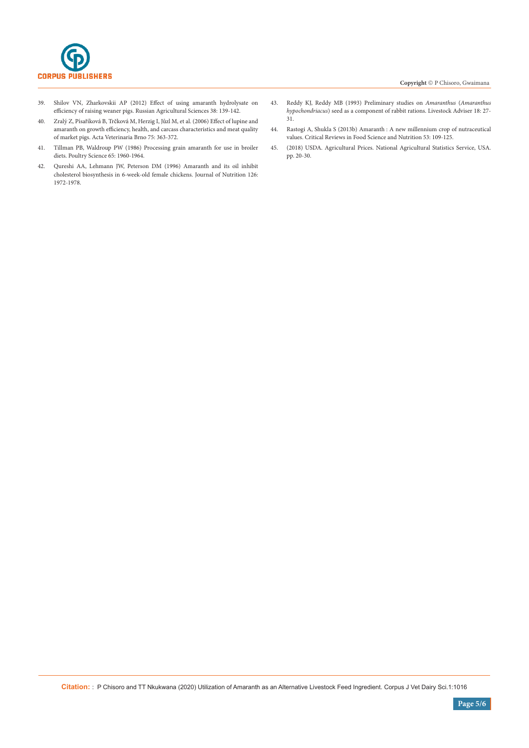

- 39. [Shilov VN, Zharkovskii AP \(2012\) Effect of using amaranth hydrolysate on](https://link.springer.com/article/10.3103/S1068367412020206)  [efficiency of raising weaner pigs. Russian Agricultural Sciences 38: 139-142.](https://link.springer.com/article/10.3103/S1068367412020206)
- 40. Zralý Z, Písaříková B, Trčková M, Herzig I, Jů[zl M, et al. \(2006\) Effect of lupine and](https://actavet.vfu.cz/75/3/0363/)  [amaranth on growth efficiency, health, and carcass characteristics and meat quality](https://actavet.vfu.cz/75/3/0363/)  [of market pigs. Acta Veterinaria Brno 75: 363-372.](https://actavet.vfu.cz/75/3/0363/)
- 41. [Tillman PB, Waldroup PW \(1986\) Processing grain amaranth for use in broiler](https://www.sciencedirect.com/science/article/pii/S0032579119525123)  [diets. Poultry Science 65: 1960-1964.](https://www.sciencedirect.com/science/article/pii/S0032579119525123)
- 42. [Qureshi AA, Lehmann JW, Peterson DM \(1996\) Amaranth and its oil inhibit](https://academic.oup.com/jn/article/126/8/1972/4722805)  [cholesterol biosynthesis in 6-week-old female chickens. Journal of Nutrition 126:](https://academic.oup.com/jn/article/126/8/1972/4722805)  [1972-1978.](https://academic.oup.com/jn/article/126/8/1972/4722805)
- 43. Reddy KJ, Reddy MB (1993) Preliminary studies on *Amaranthus* (*Amaranthus hypochondriacus*) seed as a component of rabbit rations. Livestock Adviser 18: 27- 31.
- 44. Rastogi A, Shukla S (2013b) Amaranth : A new millennium crop of nutraceutical values. Critical Reviews in Food Science and Nutrition 53: 109-125.
- 45. (2018) USDA. Agricultural Prices. National Agricultural Statistics Service, USA. pp. 20-30.